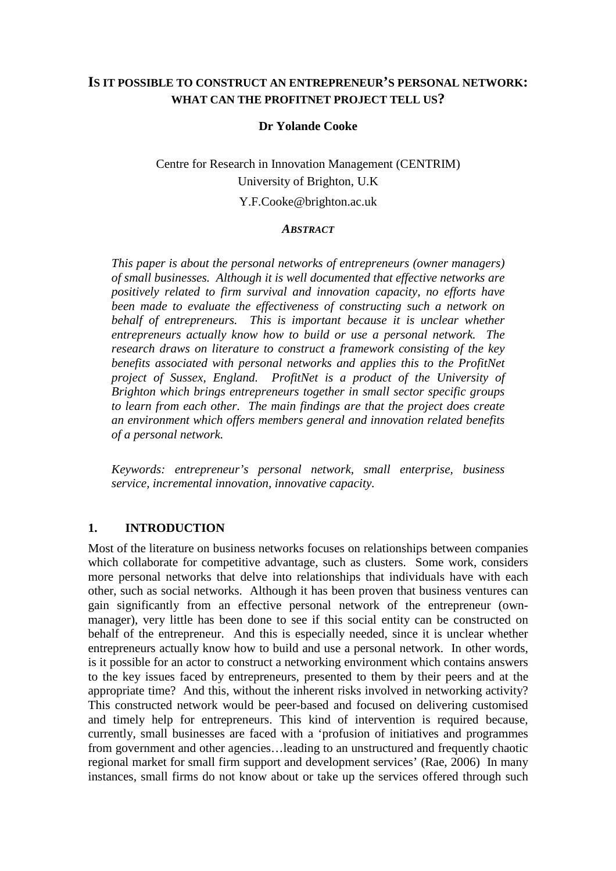## **IS IT POSSIBLE TO CONSTRUCT AN ENTREPRENEUR'S PERSONAL NETWORK: WHAT CAN THE PROFITNET PROJECT TELL US?**

#### **Dr Yolande Cooke**

# Centre for Research in Innovation Management (CENTRIM) University of Brighton, U.K

#### Y.F.Cooke@brighton.ac.uk

#### *ABSTRACT*

*This paper is about the personal networks of entrepreneurs (owner managers) of small businesses. Although it is well documented that effective networks are positively related to firm survival and innovation capacity, no efforts have been made to evaluate the effectiveness of constructing such a network on behalf of entrepreneurs. This is important because it is unclear whether entrepreneurs actually know how to build or use a personal network. The research draws on literature to construct a framework consisting of the key benefits associated with personal networks and applies this to the ProfitNet project of Sussex, England. ProfitNet is a product of the University of Brighton which brings entrepreneurs together in small sector specific groups to learn from each other. The main findings are that the project does create an environment which offers members general and innovation related benefits of a personal network.* 

*Keywords: entrepreneur's personal network, small enterprise, business service, incremental innovation, innovative capacity.* 

#### **1. INTRODUCTION**

Most of the literature on business networks focuses on relationships between companies which collaborate for competitive advantage, such as clusters. Some work, considers more personal networks that delve into relationships that individuals have with each other, such as social networks. Although it has been proven that business ventures can gain significantly from an effective personal network of the entrepreneur (ownmanager), very little has been done to see if this social entity can be constructed on behalf of the entrepreneur. And this is especially needed, since it is unclear whether entrepreneurs actually know how to build and use a personal network. In other words, is it possible for an actor to construct a networking environment which contains answers to the key issues faced by entrepreneurs, presented to them by their peers and at the appropriate time? And this, without the inherent risks involved in networking activity? This constructed network would be peer-based and focused on delivering customised and timely help for entrepreneurs. This kind of intervention is required because, currently, small businesses are faced with a 'profusion of initiatives and programmes from government and other agencies…leading to an unstructured and frequently chaotic regional market for small firm support and development services' (Rae, 2006) In many instances, small firms do not know about or take up the services offered through such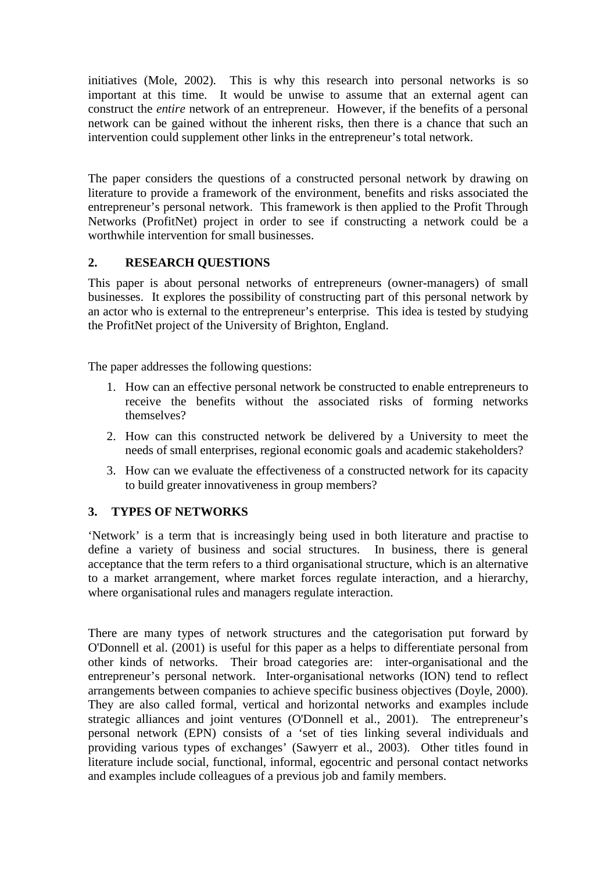initiatives (Mole, 2002). This is why this research into personal networks is so important at this time. It would be unwise to assume that an external agent can construct the *entire* network of an entrepreneur. However, if the benefits of a personal network can be gained without the inherent risks, then there is a chance that such an intervention could supplement other links in the entrepreneur's total network.

The paper considers the questions of a constructed personal network by drawing on literature to provide a framework of the environment, benefits and risks associated the entrepreneur's personal network. This framework is then applied to the Profit Through Networks (ProfitNet) project in order to see if constructing a network could be a worthwhile intervention for small businesses.

## **2. RESEARCH QUESTIONS**

This paper is about personal networks of entrepreneurs (owner-managers) of small businesses. It explores the possibility of constructing part of this personal network by an actor who is external to the entrepreneur's enterprise. This idea is tested by studying the ProfitNet project of the University of Brighton, England.

The paper addresses the following questions:

- 1. How can an effective personal network be constructed to enable entrepreneurs to receive the benefits without the associated risks of forming networks themselves?
- 2. How can this constructed network be delivered by a University to meet the needs of small enterprises, regional economic goals and academic stakeholders?
- 3. How can we evaluate the effectiveness of a constructed network for its capacity to build greater innovativeness in group members?

## **3. TYPES OF NETWORKS**

'Network' is a term that is increasingly being used in both literature and practise to define a variety of business and social structures. In business, there is general acceptance that the term refers to a third organisational structure, which is an alternative to a market arrangement, where market forces regulate interaction, and a hierarchy, where organisational rules and managers regulate interaction.

There are many types of network structures and the categorisation put forward by O'Donnell et al. (2001) is useful for this paper as a helps to differentiate personal from other kinds of networks. Their broad categories are: inter-organisational and the entrepreneur's personal network. Inter-organisational networks (ION) tend to reflect arrangements between companies to achieve specific business objectives (Doyle, 2000). They are also called formal, vertical and horizontal networks and examples include strategic alliances and joint ventures (O'Donnell et al., 2001). The entrepreneur's personal network (EPN) consists of a 'set of ties linking several individuals and providing various types of exchanges' (Sawyerr et al., 2003). Other titles found in literature include social, functional, informal, egocentric and personal contact networks and examples include colleagues of a previous job and family members.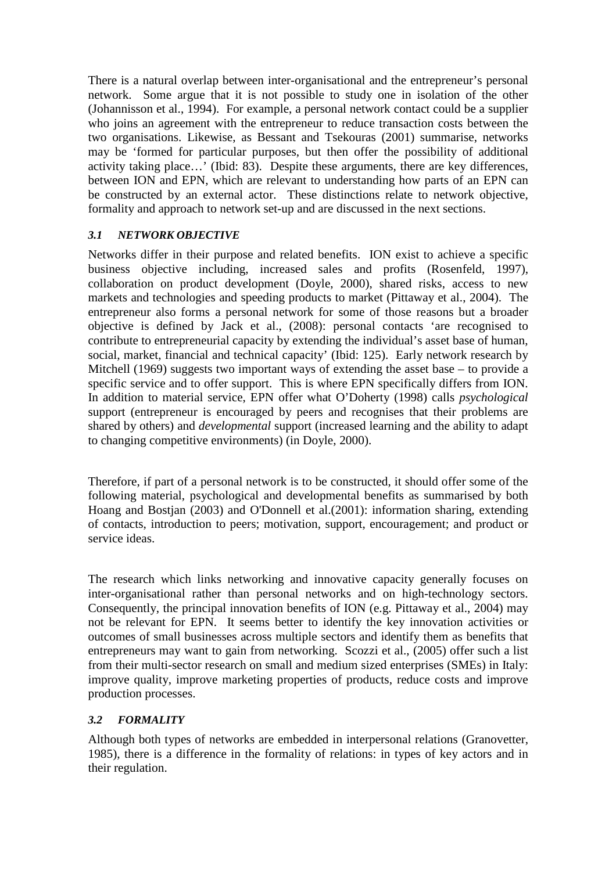There is a natural overlap between inter-organisational and the entrepreneur's personal network. Some argue that it is not possible to study one in isolation of the other (Johannisson et al., 1994). For example, a personal network contact could be a supplier who joins an agreement with the entrepreneur to reduce transaction costs between the two organisations. Likewise, as Bessant and Tsekouras (2001) summarise, networks may be 'formed for particular purposes, but then offer the possibility of additional activity taking place…' (Ibid: 83). Despite these arguments, there are key differences, between ION and EPN, which are relevant to understanding how parts of an EPN can be constructed by an external actor. These distinctions relate to network objective, formality and approach to network set-up and are discussed in the next sections.

### *3.1 NETWORK OBJECTIVE*

Networks differ in their purpose and related benefits. ION exist to achieve a specific business objective including, increased sales and profits (Rosenfeld, 1997), collaboration on product development (Doyle, 2000), shared risks, access to new markets and technologies and speeding products to market (Pittaway et al., 2004). The entrepreneur also forms a personal network for some of those reasons but a broader objective is defined by Jack et al., (2008): personal contacts 'are recognised to contribute to entrepreneurial capacity by extending the individual's asset base of human, social, market, financial and technical capacity' (Ibid: 125). Early network research by Mitchell (1969) suggests two important ways of extending the asset base – to provide a specific service and to offer support. This is where EPN specifically differs from ION. In addition to material service, EPN offer what O'Doherty (1998) calls *psychological*  support (entrepreneur is encouraged by peers and recognises that their problems are shared by others) and *developmental* support (increased learning and the ability to adapt to changing competitive environments) (in Doyle, 2000).

Therefore, if part of a personal network is to be constructed, it should offer some of the following material, psychological and developmental benefits as summarised by both Hoang and Bostjan (2003) and O'Donnell et al.(2001): information sharing, extending of contacts, introduction to peers; motivation, support, encouragement; and product or service ideas.

The research which links networking and innovative capacity generally focuses on inter-organisational rather than personal networks and on high-technology sectors. Consequently, the principal innovation benefits of ION (e.g. Pittaway et al., 2004) may not be relevant for EPN. It seems better to identify the key innovation activities or outcomes of small businesses across multiple sectors and identify them as benefits that entrepreneurs may want to gain from networking. Scozzi et al., (2005) offer such a list from their multi-sector research on small and medium sized enterprises (SMEs) in Italy: improve quality, improve marketing properties of products, reduce costs and improve production processes.

### *3.2 FORMALITY*

Although both types of networks are embedded in interpersonal relations (Granovetter, 1985), there is a difference in the formality of relations: in types of key actors and in their regulation.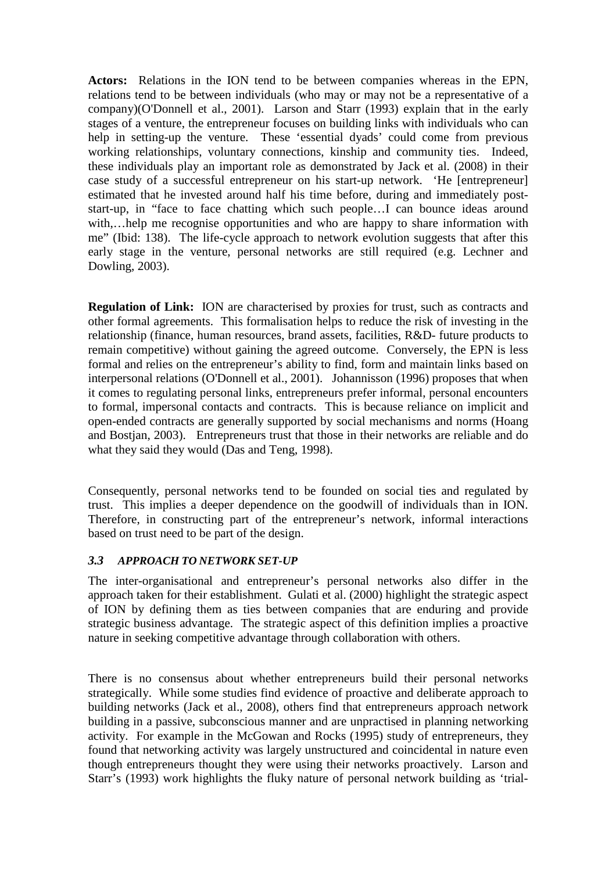**Actors:** Relations in the ION tend to be between companies whereas in the EPN, relations tend to be between individuals (who may or may not be a representative of a company)(O'Donnell et al., 2001). Larson and Starr (1993) explain that in the early stages of a venture, the entrepreneur focuses on building links with individuals who can help in setting-up the venture. These 'essential dyads' could come from previous working relationships, voluntary connections, kinship and community ties. Indeed, these individuals play an important role as demonstrated by Jack et al. (2008) in their case study of a successful entrepreneur on his start-up network. 'He [entrepreneur] estimated that he invested around half his time before, during and immediately poststart-up, in "face to face chatting which such people…I can bounce ideas around with,...help me recognise opportunities and who are happy to share information with me" (Ibid: 138). The life-cycle approach to network evolution suggests that after this early stage in the venture, personal networks are still required (e.g. Lechner and Dowling, 2003).

**Regulation of Link:** ION are characterised by proxies for trust, such as contracts and other formal agreements. This formalisation helps to reduce the risk of investing in the relationship (finance, human resources, brand assets, facilities, R&D- future products to remain competitive) without gaining the agreed outcome. Conversely, the EPN is less formal and relies on the entrepreneur's ability to find, form and maintain links based on interpersonal relations (O'Donnell et al., 2001). Johannisson (1996) proposes that when it comes to regulating personal links, entrepreneurs prefer informal, personal encounters to formal, impersonal contacts and contracts. This is because reliance on implicit and open-ended contracts are generally supported by social mechanisms and norms (Hoang and Bostjan, 2003). Entrepreneurs trust that those in their networks are reliable and do what they said they would (Das and Teng, 1998).

Consequently, personal networks tend to be founded on social ties and regulated by trust. This implies a deeper dependence on the goodwill of individuals than in ION. Therefore, in constructing part of the entrepreneur's network, informal interactions based on trust need to be part of the design.

### *3.3 APPROACH TO NETWORK SET-UP*

The inter-organisational and entrepreneur's personal networks also differ in the approach taken for their establishment. Gulati et al. (2000) highlight the strategic aspect of ION by defining them as ties between companies that are enduring and provide strategic business advantage. The strategic aspect of this definition implies a proactive nature in seeking competitive advantage through collaboration with others.

There is no consensus about whether entrepreneurs build their personal networks strategically. While some studies find evidence of proactive and deliberate approach to building networks (Jack et al., 2008), others find that entrepreneurs approach network building in a passive, subconscious manner and are unpractised in planning networking activity. For example in the McGowan and Rocks (1995) study of entrepreneurs, they found that networking activity was largely unstructured and coincidental in nature even though entrepreneurs thought they were using their networks proactively. Larson and Starr's (1993) work highlights the fluky nature of personal network building as 'trial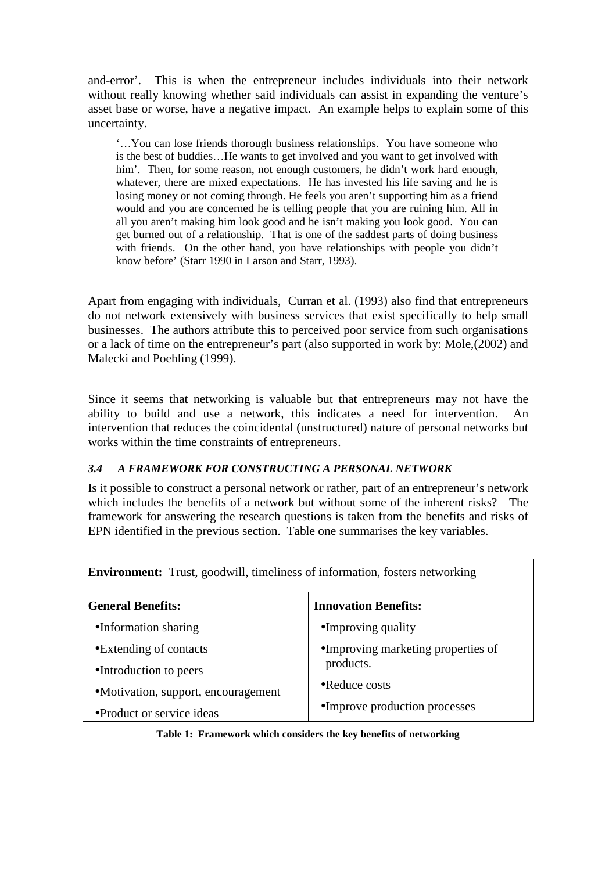and-error'. This is when the entrepreneur includes individuals into their network without really knowing whether said individuals can assist in expanding the venture's asset base or worse, have a negative impact. An example helps to explain some of this uncertainty.

'…You can lose friends thorough business relationships. You have someone who is the best of buddies…He wants to get involved and you want to get involved with him'. Then, for some reason, not enough customers, he didn't work hard enough, whatever, there are mixed expectations. He has invested his life saving and he is losing money or not coming through. He feels you aren't supporting him as a friend would and you are concerned he is telling people that you are ruining him. All in all you aren't making him look good and he isn't making you look good. You can get burned out of a relationship. That is one of the saddest parts of doing business with friends. On the other hand, you have relationships with people you didn't know before' (Starr 1990 in Larson and Starr, 1993).

Apart from engaging with individuals, Curran et al. (1993) also find that entrepreneurs do not network extensively with business services that exist specifically to help small businesses. The authors attribute this to perceived poor service from such organisations or a lack of time on the entrepreneur's part (also supported in work by: Mole,(2002) and Malecki and Poehling (1999).

Since it seems that networking is valuable but that entrepreneurs may not have the ability to build and use a network, this indicates a need for intervention. An intervention that reduces the coincidental (unstructured) nature of personal networks but works within the time constraints of entrepreneurs.

### *3.4 A FRAMEWORK FOR CONSTRUCTING A PERSONAL NETWORK*

Is it possible to construct a personal network or rather, part of an entrepreneur's network which includes the benefits of a network but without some of the inherent risks? The framework for answering the research questions is taken from the benefits and risks of EPN identified in the previous section. Table one summarises the key variables.

| <b>Environment:</b> Trust, goodwill, timeliness of information, fosters networking |                                    |  |
|------------------------------------------------------------------------------------|------------------------------------|--|
| <b>General Benefits:</b>                                                           | <b>Innovation Benefits:</b>        |  |
| •Information sharing                                                               | •Improving quality                 |  |
| • Extending of contacts                                                            | •Improving marketing properties of |  |
| •Introduction to peers                                                             | products.                          |  |
| • Motivation, support, encouragement                                               | $\bullet$ Reduce costs             |  |
| • Product or service ideas                                                         | •Improve production processes      |  |

**Table 1: Framework which considers the key benefits of networking**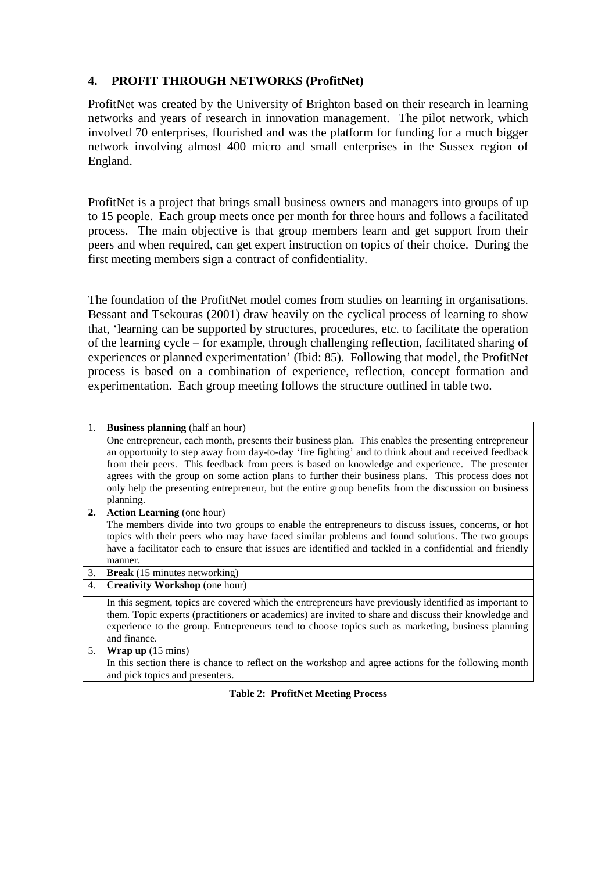### **4. PROFIT THROUGH NETWORKS (ProfitNet)**

ProfitNet was created by the University of Brighton based on their research in learning networks and years of research in innovation management. The pilot network, which involved 70 enterprises, flourished and was the platform for funding for a much bigger network involving almost 400 micro and small enterprises in the Sussex region of England.

ProfitNet is a project that brings small business owners and managers into groups of up to 15 people. Each group meets once per month for three hours and follows a facilitated process. The main objective is that group members learn and get support from their peers and when required, can get expert instruction on topics of their choice. During the first meeting members sign a contract of confidentiality.

The foundation of the ProfitNet model comes from studies on learning in organisations. Bessant and Tsekouras (2001) draw heavily on the cyclical process of learning to show that, 'learning can be supported by structures, procedures, etc. to facilitate the operation of the learning cycle – for example, through challenging reflection, facilitated sharing of experiences or planned experimentation' (Ibid: 85). Following that model, the ProfitNet process is based on a combination of experience, reflection, concept formation and experimentation. Each group meeting follows the structure outlined in table two.

|    | <b>Business planning</b> (half an hour)                                                                 |
|----|---------------------------------------------------------------------------------------------------------|
|    | One entrepreneur, each month, presents their business plan. This enables the presenting entrepreneur    |
|    | an opportunity to step away from day-to-day 'fire fighting' and to think about and received feedback    |
|    | from their peers. This feedback from peers is based on knowledge and experience. The presenter          |
|    | agrees with the group on some action plans to further their business plans. This process does not       |
|    |                                                                                                         |
|    | only help the presenting entrepreneur, but the entire group benefits from the discussion on business    |
|    | planning.                                                                                               |
| 2. | <b>Action Learning</b> (one hour)                                                                       |
|    | The members divide into two groups to enable the entrepreneurs to discuss issues, concerns, or hot      |
|    | topics with their peers who may have faced similar problems and found solutions. The two groups         |
|    | have a facilitator each to ensure that issues are identified and tackled in a confidential and friendly |
|    | manner.                                                                                                 |
| 3. | <b>Break</b> (15 minutes networking)                                                                    |
| 4. | <b>Creativity Workshop</b> (one hour)                                                                   |
|    | In this segment, topics are covered which the entrepreneurs have previously identified as important to  |
|    | them. Topic experts (practitioners or academics) are invited to share and discuss their knowledge and   |
|    | experience to the group. Entrepreneurs tend to choose topics such as marketing, business planning       |
|    | and finance.                                                                                            |
| 5. | <b>Wrap up</b> $(15 \text{ mins})$                                                                      |
|    |                                                                                                         |
|    |                                                                                                         |
|    | and pick topics and presenters.                                                                         |
|    | In this section there is chance to reflect on the workshop and agree actions for the following month    |
|    |                                                                                                         |

**Table 2: ProfitNet Meeting Process**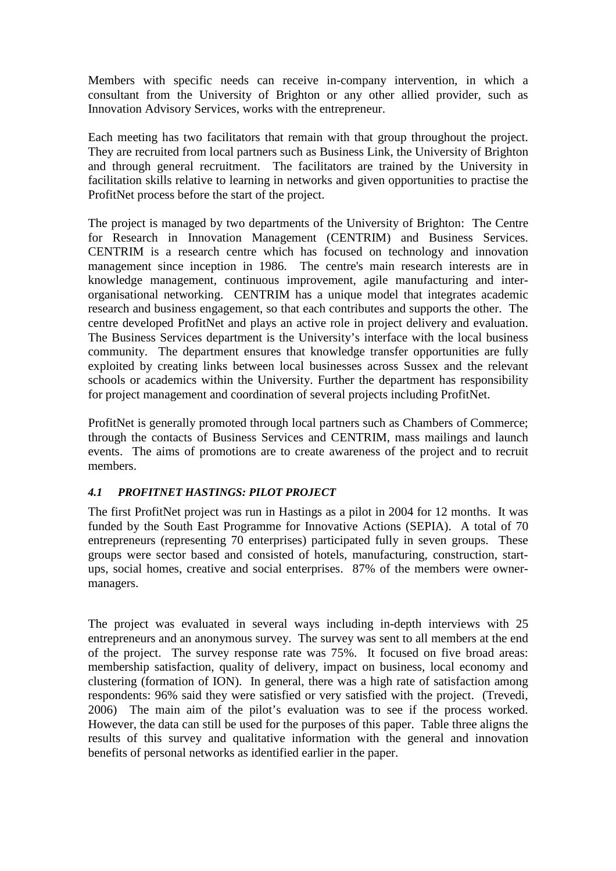Members with specific needs can receive in-company intervention, in which a consultant from the University of Brighton or any other allied provider, such as Innovation Advisory Services, works with the entrepreneur.

Each meeting has two facilitators that remain with that group throughout the project. They are recruited from local partners such as Business Link, the University of Brighton and through general recruitment. The facilitators are trained by the University in facilitation skills relative to learning in networks and given opportunities to practise the ProfitNet process before the start of the project.

The project is managed by two departments of the University of Brighton: The Centre for Research in Innovation Management (CENTRIM) and Business Services. CENTRIM is a research centre which has focused on technology and innovation management since inception in 1986. The centre's main research interests are in knowledge management, continuous improvement, agile manufacturing and interorganisational networking. CENTRIM has a unique model that integrates academic research and business engagement, so that each contributes and supports the other. The centre developed ProfitNet and plays an active role in project delivery and evaluation. The Business Services department is the University's interface with the local business community. The department ensures that knowledge transfer opportunities are fully exploited by creating links between local businesses across Sussex and the relevant schools or academics within the University. Further the department has responsibility for project management and coordination of several projects including ProfitNet.

ProfitNet is generally promoted through local partners such as Chambers of Commerce; through the contacts of Business Services and CENTRIM, mass mailings and launch events. The aims of promotions are to create awareness of the project and to recruit members.

### *4.1 PROFITNET HASTINGS: PILOT PROJECT*

The first ProfitNet project was run in Hastings as a pilot in 2004 for 12 months. It was funded by the South East Programme for Innovative Actions (SEPIA). A total of 70 entrepreneurs (representing 70 enterprises) participated fully in seven groups. These groups were sector based and consisted of hotels, manufacturing, construction, startups, social homes, creative and social enterprises. 87% of the members were ownermanagers.

The project was evaluated in several ways including in-depth interviews with 25 entrepreneurs and an anonymous survey. The survey was sent to all members at the end of the project. The survey response rate was 75%. It focused on five broad areas: membership satisfaction, quality of delivery, impact on business, local economy and clustering (formation of ION). In general, there was a high rate of satisfaction among respondents: 96% said they were satisfied or very satisfied with the project. (Trevedi, 2006) The main aim of the pilot's evaluation was to see if the process worked. However, the data can still be used for the purposes of this paper. Table three aligns the results of this survey and qualitative information with the general and innovation benefits of personal networks as identified earlier in the paper.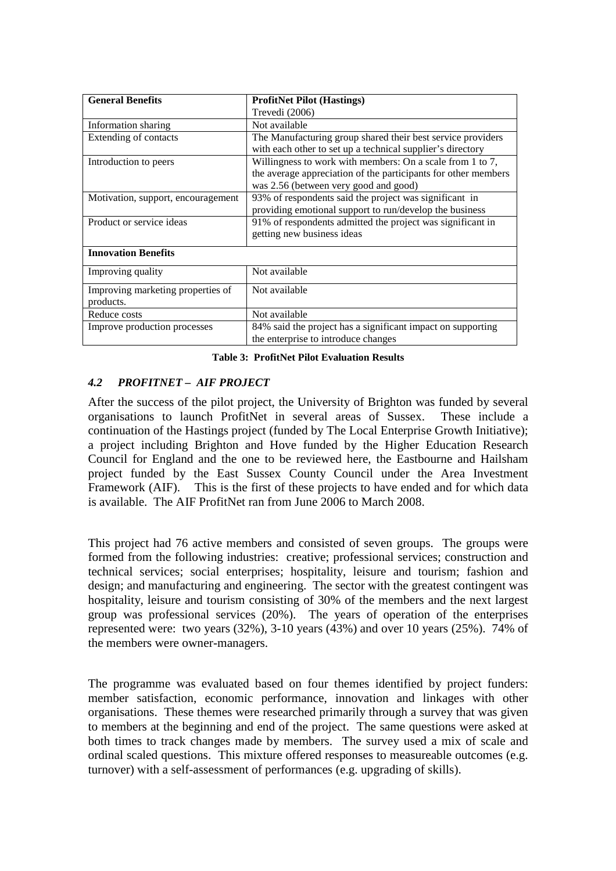| <b>General Benefits</b>                        | <b>ProfitNet Pilot (Hastings)</b>                                                                                                                                    |  |
|------------------------------------------------|----------------------------------------------------------------------------------------------------------------------------------------------------------------------|--|
|                                                | Trevedi (2006)                                                                                                                                                       |  |
| Information sharing                            | Not available                                                                                                                                                        |  |
| Extending of contacts                          | The Manufacturing group shared their best service providers<br>with each other to set up a technical supplier's directory                                            |  |
| Introduction to peers                          | Willingness to work with members: On a scale from 1 to 7,<br>the average appreciation of the participants for other members<br>was 2.56 (between very good and good) |  |
| Motivation, support, encouragement             | 93% of respondents said the project was significant in<br>providing emotional support to run/develop the business                                                    |  |
| Product or service ideas                       | 91% of respondents admitted the project was significant in<br>getting new business ideas                                                                             |  |
| <b>Innovation Benefits</b>                     |                                                                                                                                                                      |  |
| Improving quality                              | Not available                                                                                                                                                        |  |
| Improving marketing properties of<br>products. | Not available                                                                                                                                                        |  |
| Reduce costs                                   | Not available                                                                                                                                                        |  |
| Improve production processes                   | 84% said the project has a significant impact on supporting<br>the enterprise to introduce changes                                                                   |  |

**Table 3: ProfitNet Pilot Evaluation Results** 

## *4.2 PROFITNET – AIF PROJECT*

After the success of the pilot project, the University of Brighton was funded by several organisations to launch ProfitNet in several areas of Sussex. These include a continuation of the Hastings project (funded by The Local Enterprise Growth Initiative); a project including Brighton and Hove funded by the Higher Education Research Council for England and the one to be reviewed here, the Eastbourne and Hailsham project funded by the East Sussex County Council under the Area Investment Framework (AIF). This is the first of these projects to have ended and for which data is available. The AIF ProfitNet ran from June 2006 to March 2008.

This project had 76 active members and consisted of seven groups. The groups were formed from the following industries: creative; professional services; construction and technical services; social enterprises; hospitality, leisure and tourism; fashion and design; and manufacturing and engineering. The sector with the greatest contingent was hospitality, leisure and tourism consisting of 30% of the members and the next largest group was professional services (20%). The years of operation of the enterprises represented were: two years (32%), 3-10 years (43%) and over 10 years (25%). 74% of the members were owner-managers.

The programme was evaluated based on four themes identified by project funders: member satisfaction, economic performance, innovation and linkages with other organisations. These themes were researched primarily through a survey that was given to members at the beginning and end of the project. The same questions were asked at both times to track changes made by members. The survey used a mix of scale and ordinal scaled questions. This mixture offered responses to measureable outcomes (e.g. turnover) with a self-assessment of performances (e.g. upgrading of skills).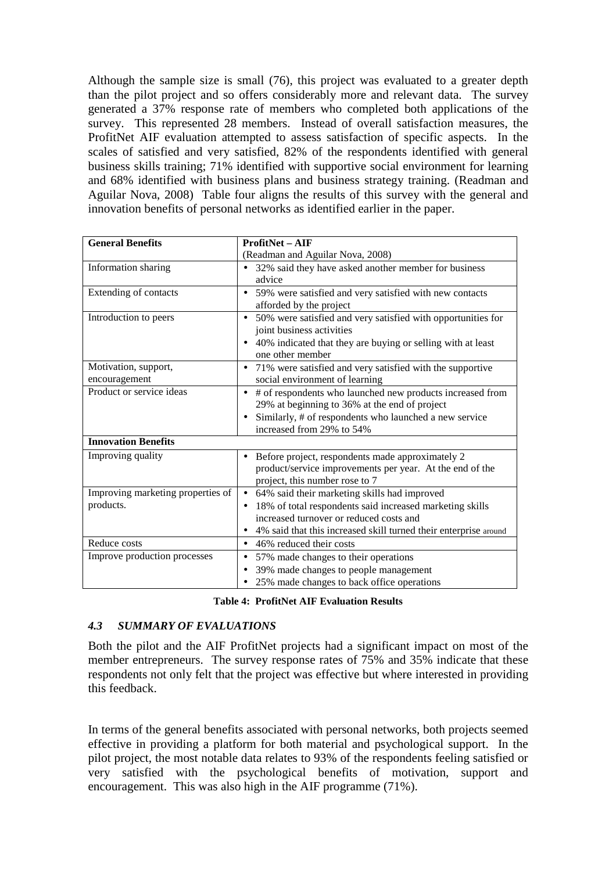Although the sample size is small (76), this project was evaluated to a greater depth than the pilot project and so offers considerably more and relevant data. The survey generated a 37% response rate of members who completed both applications of the survey. This represented 28 members. Instead of overall satisfaction measures, the ProfitNet AIF evaluation attempted to assess satisfaction of specific aspects. In the scales of satisfied and very satisfied, 82% of the respondents identified with general business skills training; 71% identified with supportive social environment for learning and 68% identified with business plans and business strategy training. (Readman and Aguilar Nova, 2008) Table four aligns the results of this survey with the general and innovation benefits of personal networks as identified earlier in the paper.

| <b>General Benefits</b>           | <b>ProfitNet-AIF</b>                                                     |  |
|-----------------------------------|--------------------------------------------------------------------------|--|
|                                   | (Readman and Aguilar Nova, 2008)                                         |  |
| Information sharing               | 32% said they have asked another member for business                     |  |
|                                   | advice                                                                   |  |
| Extending of contacts             | 59% were satisfied and very satisfied with new contacts                  |  |
|                                   | afforded by the project                                                  |  |
| Introduction to peers             | 50% were satisfied and very satisfied with opportunities for             |  |
|                                   | joint business activities                                                |  |
|                                   | 40% indicated that they are buying or selling with at least<br>$\bullet$ |  |
|                                   | one other member                                                         |  |
| Motivation, support,              | 71% were satisfied and very satisfied with the supportive                |  |
| encouragement                     | social environment of learning                                           |  |
| Product or service ideas          | # of respondents who launched new products increased from                |  |
|                                   | 29% at beginning to 36% at the end of project                            |  |
|                                   | Similarly, # of respondents who launched a new service                   |  |
|                                   | increased from 29% to 54%                                                |  |
| <b>Innovation Benefits</b>        |                                                                          |  |
| Improving quality                 | Before project, respondents made approximately 2                         |  |
|                                   | product/service improvements per year. At the end of the                 |  |
|                                   | project, this number rose to 7                                           |  |
| Improving marketing properties of | 64% said their marketing skills had improved<br>$\bullet$                |  |
| products.                         | 18% of total respondents said increased marketing skills                 |  |
|                                   | increased turnover or reduced costs and                                  |  |
|                                   | 4% said that this increased skill turned their enterprise around         |  |
| Reduce costs                      | 46% reduced their costs                                                  |  |
| Improve production processes      | 57% made changes to their operations                                     |  |
|                                   | 39% made changes to people management                                    |  |
|                                   | 25% made changes to back office operations                               |  |

**Table 4: ProfitNet AIF Evaluation Results** 

#### *4.3 SUMMARY OF EVALUATIONS*

Both the pilot and the AIF ProfitNet projects had a significant impact on most of the member entrepreneurs. The survey response rates of 75% and 35% indicate that these respondents not only felt that the project was effective but where interested in providing this feedback.

In terms of the general benefits associated with personal networks, both projects seemed effective in providing a platform for both material and psychological support. In the pilot project, the most notable data relates to 93% of the respondents feeling satisfied or very satisfied with the psychological benefits of motivation, support and encouragement. This was also high in the AIF programme (71%).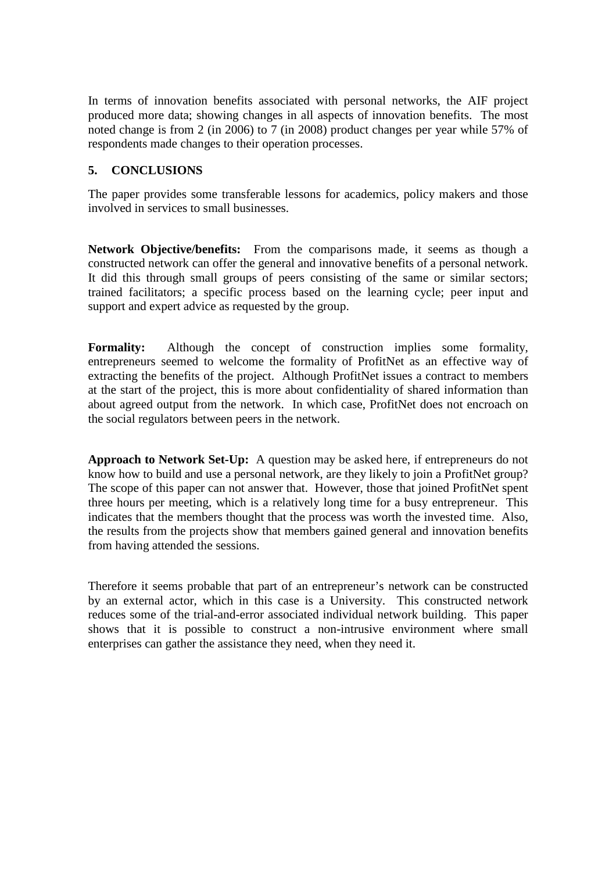In terms of innovation benefits associated with personal networks, the AIF project produced more data; showing changes in all aspects of innovation benefits. The most noted change is from 2 (in 2006) to 7 (in 2008) product changes per year while 57% of respondents made changes to their operation processes.

## **5. CONCLUSIONS**

The paper provides some transferable lessons for academics, policy makers and those involved in services to small businesses.

**Network Objective/benefits:** From the comparisons made, it seems as though a constructed network can offer the general and innovative benefits of a personal network. It did this through small groups of peers consisting of the same or similar sectors; trained facilitators; a specific process based on the learning cycle; peer input and support and expert advice as requested by the group.

**Formality:** Although the concept of construction implies some formality, entrepreneurs seemed to welcome the formality of ProfitNet as an effective way of extracting the benefits of the project. Although ProfitNet issues a contract to members at the start of the project, this is more about confidentiality of shared information than about agreed output from the network. In which case, ProfitNet does not encroach on the social regulators between peers in the network.

**Approach to Network Set-Up:** A question may be asked here, if entrepreneurs do not know how to build and use a personal network, are they likely to join a ProfitNet group? The scope of this paper can not answer that. However, those that joined ProfitNet spent three hours per meeting, which is a relatively long time for a busy entrepreneur. This indicates that the members thought that the process was worth the invested time. Also, the results from the projects show that members gained general and innovation benefits from having attended the sessions.

Therefore it seems probable that part of an entrepreneur's network can be constructed by an external actor, which in this case is a University. This constructed network reduces some of the trial-and-error associated individual network building. This paper shows that it is possible to construct a non-intrusive environment where small enterprises can gather the assistance they need, when they need it.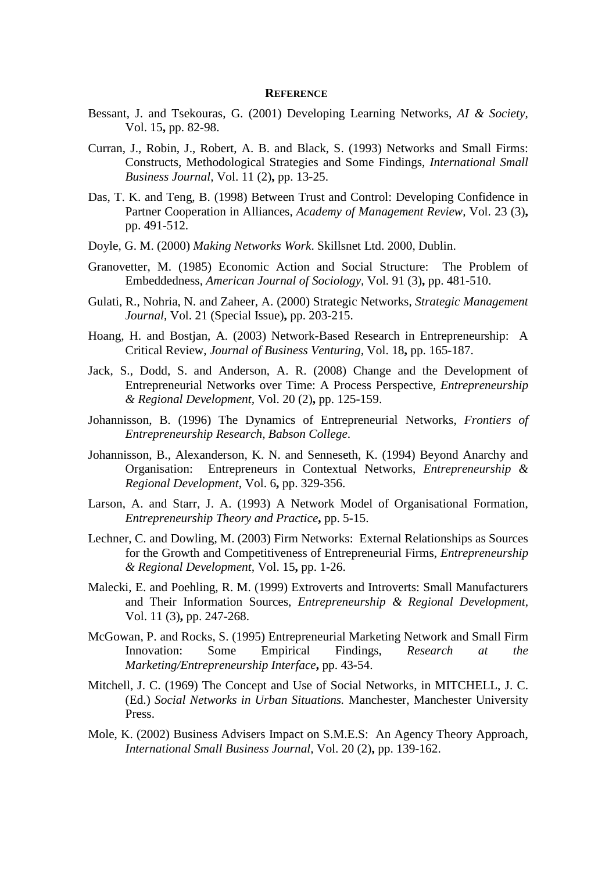#### **REFERENCE**

- Bessant, J. and Tsekouras, G. (2001) Developing Learning Networks, *AI & Society,* Vol. 15**,** pp. 82-98.
- Curran, J., Robin, J., Robert, A. B. and Black, S. (1993) Networks and Small Firms: Constructs, Methodological Strategies and Some Findings, *International Small Business Journal,* Vol. 11 (2)**,** pp. 13-25.
- Das, T. K. and Teng, B. (1998) Between Trust and Control: Developing Confidence in Partner Cooperation in Alliances, *Academy of Management Review,* Vol. 23 (3)**,**  pp. 491-512.
- Doyle, G. M. (2000) *Making Networks Work*. Skillsnet Ltd. 2000, Dublin.
- Granovetter, M. (1985) Economic Action and Social Structure: The Problem of Embeddedness, *American Journal of Sociology,* Vol. 91 (3)**,** pp. 481-510.
- Gulati, R., Nohria, N. and Zaheer, A. (2000) Strategic Networks, *Strategic Management Journal,* Vol. 21 (Special Issue)**,** pp. 203-215.
- Hoang, H. and Bostjan, A. (2003) Network-Based Research in Entrepreneurship: A Critical Review, *Journal of Business Venturing,* Vol. 18**,** pp. 165-187.
- Jack, S., Dodd, S. and Anderson, A. R. (2008) Change and the Development of Entrepreneurial Networks over Time: A Process Perspective, *Entrepreneurship & Regional Development,* Vol. 20 (2)**,** pp. 125-159.
- Johannisson, B. (1996) The Dynamics of Entrepreneurial Networks, *Frontiers of Entrepreneurship Research, Babson College*.
- Johannisson, B., Alexanderson, K. N. and Senneseth, K. (1994) Beyond Anarchy and Organisation: Entrepreneurs in Contextual Networks, *Entrepreneurship & Regional Development,* Vol. 6**,** pp. 329-356.
- Larson, A. and Starr, J. A. (1993) A Network Model of Organisational Formation, *Entrepreneurship Theory and Practice***,** pp. 5-15.
- Lechner, C. and Dowling, M. (2003) Firm Networks: External Relationships as Sources for the Growth and Competitiveness of Entrepreneurial Firms, *Entrepreneurship & Regional Development,* Vol. 15**,** pp. 1-26.
- Malecki, E. and Poehling, R. M. (1999) Extroverts and Introverts: Small Manufacturers and Their Information Sources, *Entrepreneurship & Regional Development,* Vol. 11 (3)**,** pp. 247-268.
- McGowan, P. and Rocks, S. (1995) Entrepreneurial Marketing Network and Small Firm Innovation: Some Empirical Findings, *Research at the Marketing/Entrepreneurship Interface***,** pp. 43-54.
- Mitchell, J. C. (1969) The Concept and Use of Social Networks, in MITCHELL, J. C. (Ed.) *Social Networks in Urban Situations.* Manchester, Manchester University Press.
- Mole, K. (2002) Business Advisers Impact on S.M.E.S: An Agency Theory Approach, *International Small Business Journal,* Vol. 20 (2)**,** pp. 139-162.